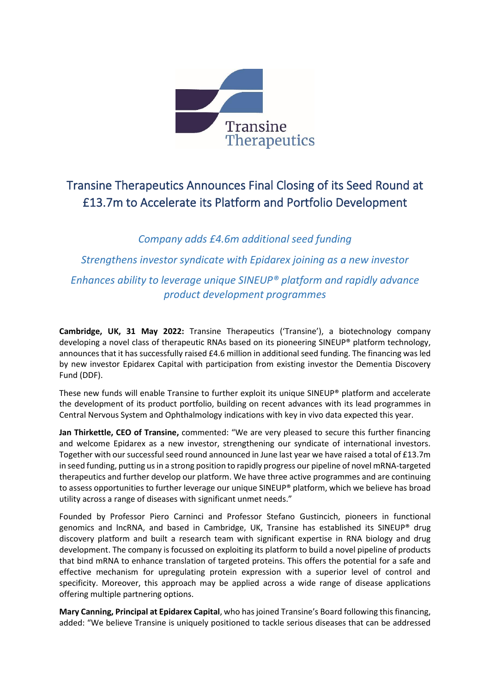

# Transine Therapeutics Announces Final Closing of its Seed Round at £13.7m to Accelerate its Platform and Portfolio Development

*Company adds £4.6m additional seed funding Strengthens investor syndicate with Epidarex joining as a new investor Enhances ability to leverage unique SINEUP® platform and rapidly advance product development programmes*

**Cambridge, UK, 31 May 2022:** Transine Therapeutics ('Transine'), a biotechnology company developing a novel class of therapeutic RNAs based on its pioneering SINEUP® platform technology, announces that it has successfully raised £4.6 million in additional seed funding. The financing was led by new investor Epidarex Capital with participation from existing investor the Dementia Discovery Fund (DDF).

These new funds will enable Transine to further exploit its unique SINEUP® platform and accelerate the development of its product portfolio, building on recent advances with its lead programmes in Central Nervous System and Ophthalmology indications with key in vivo data expected this year.

**Jan Thirkettle, CEO of Transine,** commented: "We are very pleased to secure this further financing and welcome Epidarex as a new investor, strengthening our syndicate of international investors. Together with our successful seed round announced in June last year we have raised a total of £13.7m in seed funding, putting us in a strong position to rapidly progress our pipeline of novel mRNA-targeted therapeutics and further develop our platform. We have three active programmes and are continuing to assess opportunities to further leverage our unique SINEUP® platform, which we believe has broad utility across a range of diseases with significant unmet needs."

Founded by Professor Piero Carninci and Professor Stefano Gustincich, pioneers in functional genomics and lncRNA, and based in Cambridge, UK, Transine has established its SINEUP® drug discovery platform and built a research team with significant expertise in RNA biology and drug development. The company is focussed on exploiting its platform to build a novel pipeline of products that bind mRNA to enhance translation of targeted proteins. This offers the potential for a safe and effective mechanism for upregulating protein expression with a superior level of control and specificity. Moreover, this approach may be applied across a wide range of disease applications offering multiple partnering options.

**Mary Canning, Principal at Epidarex Capital**, who has joined Transine's Board following this financing, added: "We believe Transine is uniquely positioned to tackle serious diseases that can be addressed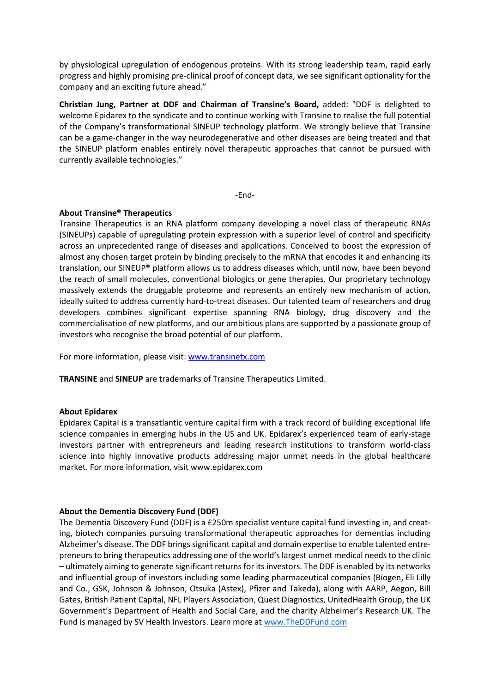by physiological upregulation of endogenous proteins. With its strong leadership team, rapid early progress and highly promising pre-clinical proof of concept data, we see significant optionality for the company and an exciting future ahead."

**Christian Jung, Partner at DDF and Chairman of Transine's Board,** added: "DDF is delighted to welcome Epidarex to the syndicate and to continue working with Transine to realise the full potential of the Company's transformational SINEUP technology platform. We strongly believe that Transine can be a game-changer in the way neurodegenerative and other diseases are being treated and that the SINEUP platform enables entirely novel therapeutic approaches that cannot be pursued with currently available technologies."

-End-

#### **About Transine® Therapeutics**

Transine Therapeutics is an RNA platform company developing a novel class of therapeutic RNAs (SINEUPs) capable of upregulating protein expression with a superior level of control and specificity across an unprecedented range of diseases and applications. Conceived to boost the expression of almost any chosen target protein by binding precisely to the mRNA that encodes it and enhancing its translation, our SINEUP® platform allows us to address diseases which, until now, have been beyond the reach of small molecules, conventional biologics or gene therapies. Our proprietary technology massively extends the druggable proteome and represents an entirely new mechanism of action, ideally suited to address currently hard-to-treat diseases. Our talented team of researchers and drug developers combines significant expertise spanning RNA biology, drug discovery and the commercialisation of new platforms, and our ambitious plans are supported by a passionate group of investors who recognise the broad potential of our platform.

For more information, please visit[: www.transinetx.com](http://www.transinetx.com/)

**TRANSINE** and **SINEUP** are trademarks of Transine Therapeutics Limited.

#### **About Epidarex**

Epidarex Capital is a transatlantic venture capital firm with a track record of building exceptional life science companies in emerging hubs in the US and UK. Epidarex's experienced team of early-stage investors partner with entrepreneurs and leading research institutions to transform world-class science into highly innovative products addressing major unmet needs in the global healthcare market. For more information, visit www.epidarex.com

#### **About the Dementia Discovery Fund (DDF)**

The Dementia Discovery Fund (DDF) is a £250m specialist venture capital fund investing in, and creating, biotech companies pursuing transformational therapeutic approaches for dementias including Alzheimer's disease. The DDF brings significant capital and domain expertise to enable talented entrepreneurs to bring therapeutics addressing one of the world's largest unmet medical needs to the clinic – ultimately aiming to generate significant returns for its investors. The DDF is enabled by its networks and influential group of investors including some leading pharmaceutical companies (Biogen, Eli Lilly and Co., GSK, Johnson & Johnson, Otsuka (Astex), Pfizer and Takeda), along with AARP, Aegon, Bill Gates, British Patient Capital, NFL Players Association, Quest Diagnostics, UnitedHealth Group, the UK Government's Department of Health and Social Care, and the charity Alzheimer's Research UK. The Fund is managed by SV Health Investors. Learn more at [www.TheDDFund.com](http://www.theddfund.com/)